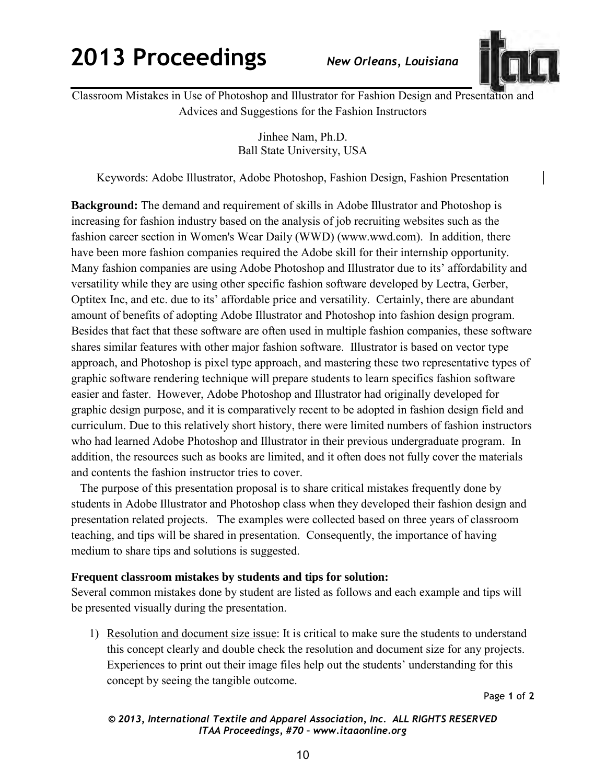## **2013 Proceedings** *New Orleans, Louisiana*



Classroom Mistakes in Use of Photoshop and Illustrator for Fashion Design and Presentation and Advices and Suggestions for the Fashion Instructors

> Jinhee Nam, Ph.D. Ball State University, USA

Keywords: Adobe Illustrator, Adobe Photoshop, Fashion Design, Fashion Presentation

**Background:** The demand and requirement of skills in Adobe Illustrator and Photoshop is increasing for fashion industry based on the analysis of job recruiting websites such as the fashion career section in Women's Wear Daily (WWD) (www.wwd.com). In addition, there have been more fashion companies required the Adobe skill for their internship opportunity. Many fashion companies are using Adobe Photoshop and Illustrator due to its' affordability and versatility while they are using other specific fashion software developed by Lectra, Gerber, Optitex Inc, and etc. due to its' affordable price and versatility. Certainly, there are abundant amount of benefits of adopting Adobe Illustrator and Photoshop into fashion design program. Besides that fact that these software are often used in multiple fashion companies, these software shares similar features with other major fashion software. Illustrator is based on vector type approach, and Photoshop is pixel type approach, and mastering these two representative types of graphic software rendering technique will prepare students to learn specifics fashion software easier and faster. However, Adobe Photoshop and Illustrator had originally developed for graphic design purpose, and it is comparatively recent to be adopted in fashion design field and curriculum. Due to this relatively short history, there were limited numbers of fashion instructors who had learned Adobe Photoshop and Illustrator in their previous undergraduate program. In addition, the resources such as books are limited, and it often does not fully cover the materials and contents the fashion instructor tries to cover.

 The purpose of this presentation proposal is to share critical mistakes frequently done by students in Adobe Illustrator and Photoshop class when they developed their fashion design and presentation related projects. The examples were collected based on three years of classroom teaching, and tips will be shared in presentation. Consequently, the importance of having medium to share tips and solutions is suggested.

## **Frequent classroom mistakes by students and tips for solution:**

Several common mistakes done by student are listed as follows and each example and tips will be presented visually during the presentation.

1) Resolution and document size issue: It is critical to make sure the students to understand this concept clearly and double check the resolution and document size for any projects. Experiences to print out their image files help out the students' understanding for this concept by seeing the tangible outcome.

Page **1** of **2** 

## *© 2013, International Textile and Apparel Association, Inc. ALL RIGHTS RESERVED ITAA Proceedings, #70 – www.itaaonline.org*